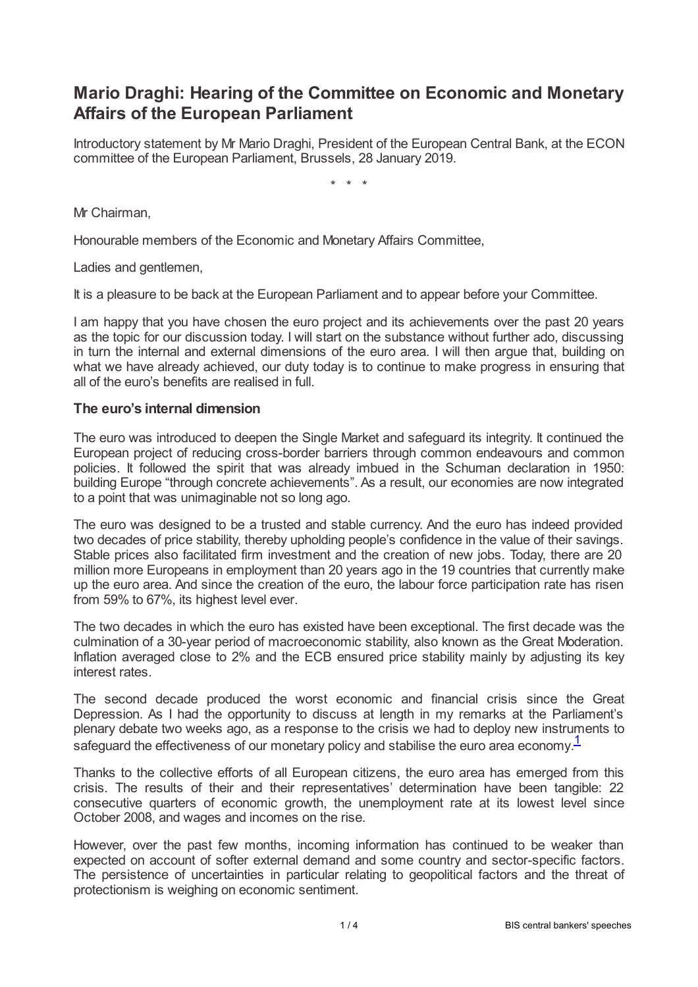# **Mario Draghi: Hearing of the Committee on Economic and Monetary Affairs of the European Parliament**

Introductory statement by Mr Mario Draghi, President of the European Central Bank, at the ECON committee of the European Parliament, Brussels, 28 January 2019.

\* \* \*

Mr Chairman,

Honourable members of the Economic and Monetary Affairs Committee,

Ladies and gentlemen,

It is a pleasure to be back at the European Parliament and to appear before your Committee.

I am happy that you have chosen the euro project and its achievements over the past 20 years as the topic for our discussion today. I will start on the substance without further ado, discussing in turn the internal and external dimensions of the euro area. I will then argue that, building on what we have already achieved, our duty today is to continue to make progress in ensuring that all of the euro's benefits are realised in full.

### **The euro's internal dimension**

The euro was introduced to deepen the Single Market and safeguard its integrity. It continued the European project of reducing cross-border barriers through common endeavours and common policies. It followed the spirit that was already imbued in the Schuman declaration in 1950: building Europe "through concrete achievements". As a result, our economies are now integrated to a point that was unimaginable not so long ago.

The euro was designed to be a trusted and stable currency. And the euro has indeed provided two decades of price stability, thereby upholding people's confidence in the value of their savings. Stable prices also facilitated firm investment and the creation of new jobs. Today, there are 20 million more Europeans in employment than 20 years ago in the 19 countries that currently make up the euro area. And since the creation of the euro, the labour force participation rate has risen from 59% to 67%, its highest level ever.

The two decades in which the euro has existed have been exceptional. The first decade was the culmination of a 30-year period of macroeconomic stability, also known as the Great Moderation. Inflation averaged close to 2% and the ECB ensured price stability mainly by adjusting its key interest rates.

The second decade produced the worst economic and financial crisis since the Great Depression. As I had the opportunity to discuss at length in my remarks at the Parliament's plenary debate two weeks ago, as a response to the crisis we had to deploy new instruments to safeguard the effectiveness of our monetary policy and stabilise the euro area economy. $1$ 

<span id="page-0-0"></span>Thanks to the collective efforts of all European citizens, the euro area has emerged from this crisis. The results of their and their representatives' determination have been tangible: 22 consecutive quarters of economic growth, the unemployment rate at its lowest level since October 2008, and wages and incomes on the rise.

However, over the past few months, incoming information has continued to be weaker than expected on account of softer external demand and some country and sector-specific factors. The persistence of uncertainties in particular relating to geopolitical factors and the threat of protectionism is weighing on economic sentiment.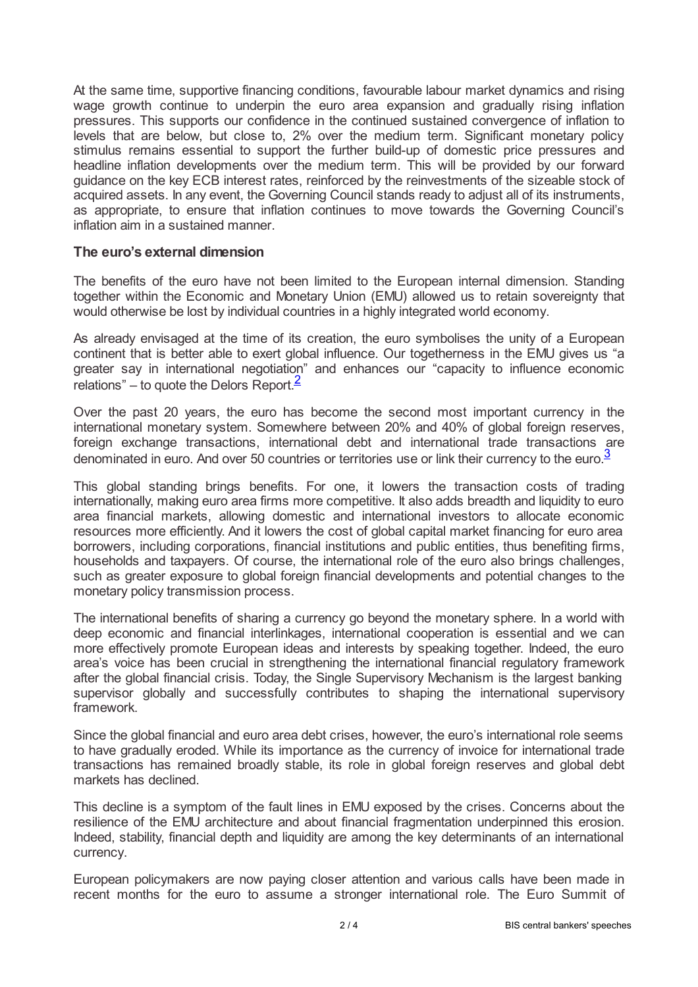At the same time, supportive financing conditions, favourable labour market dynamics and rising wage growth continue to underpin the euro area expansion and gradually rising inflation pressures. This supports our confidence in the continued sustained convergence of inflation to levels that are below, but close to, 2% over the medium term. Significant monetary policy stimulus remains essential to support the further build-up of domestic price pressures and headline inflation developments over the medium term. This will be provided by our forward guidance on the key ECB interest rates, reinforced by the reinvestments of the sizeable stock of acquired assets. In any event, the Governing Council stands ready to adjust all of its instruments, as appropriate, to ensure that inflation continues to move towards the Governing Council's inflation aim in a sustained manner.

## **The euro's external dimension**

The benefits of the euro have not been limited to the European internal dimension. Standing together within the Economic and Monetary Union (EMU) allowed us to retain sovereignty that would otherwise be lost by individual countries in a highly integrated world economy.

As already envisaged at the time of its creation, the euro symbolises the unity of a European continent that is better able to exert global influence. Our togetherness in the EMU gives us "a greater say in international negotiation" and enhances our "capacity to influence economic relations" – to quote the Delors Report. $\frac{2}{3}$  $\frac{2}{3}$  $\frac{2}{3}$ 

<span id="page-1-0"></span>Over the past 20 years, the euro has become the second most important currency in the international monetary system. Somewhere between 20% and 40% of global foreign reserves, foreign exchange transactions, international debt and international trade transactions are denominated in euro. And over 50 countries or territories use or link their currency to the euro.<sup>[3](#page-3-2)</sup>

<span id="page-1-1"></span>This global standing brings benefits. For one, it lowers the transaction costs of trading internationally, making euro area firms more competitive. It also adds breadth and liquidity to euro area financial markets, allowing domestic and international investors to allocate economic resources more efficiently. And it lowers the cost of global capital market financing for euro area borrowers, including corporations, financial institutions and public entities, thus benefiting firms, households and taxpayers. Of course, the international role of the euro also brings challenges, such as greater exposure to global foreign financial developments and potential changes to the monetary policy transmission process.

The international benefits of sharing a currency go beyond the monetary sphere. In a world with deep economic and financial interlinkages, international cooperation is essential and we can more effectively promote European ideas and interests by speaking together. Indeed, the euro area's voice has been crucial in strengthening the international financial regulatory framework after the global financial crisis. Today, the Single Supervisory Mechanism is the largest banking supervisor globally and successfully contributes to shaping the international supervisory framework.

Since the global financial and euro area debt crises, however, the euro's international role seems to have gradually eroded. While its importance as the currency of invoice for international trade transactions has remained broadly stable, its role in global foreign reserves and global debt markets has declined.

This decline is a symptom of the fault lines in EMU exposed by the crises. Concerns about the resilience of the EMU architecture and about financial fragmentation underpinned this erosion. Indeed, stability, financial depth and liquidity are among the key determinants of an international currency.

European policymakers are now paying closer attention and various calls have been made in recent months for the euro to assume a stronger international role. The Euro Summit of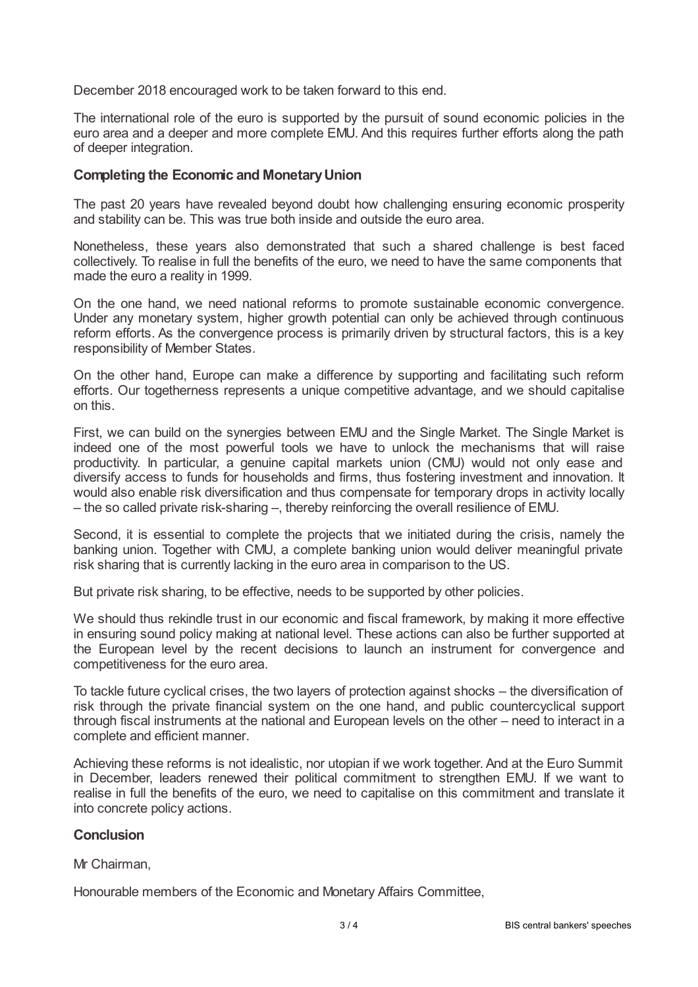December 2018 encouraged work to be taken forward to this end.

The international role of the euro is supported by the pursuit of sound economic policies in the euro area and a deeper and more complete EMU. And this requires further efforts along the path of deeper integration.

### **Completing the Economic and MonetaryUnion**

The past 20 years have revealed beyond doubt how challenging ensuring economic prosperity and stability can be. This was true both inside and outside the euro area.

Nonetheless, these years also demonstrated that such a shared challenge is best faced collectively. To realise in full the benefits of the euro, we need to have the same components that made the euro a reality in 1999.

On the one hand, we need national reforms to promote sustainable economic convergence. Under any monetary system, higher growth potential can only be achieved through continuous reform efforts. As the convergence process is primarily driven by structural factors, this is a key responsibility of Member States.

On the other hand, Europe can make a difference by supporting and facilitating such reform efforts. Our togetherness represents a unique competitive advantage, and we should capitalise on this.

First, we can build on the synergies between EMU and the Single Market. The Single Market is indeed one of the most powerful tools we have to unlock the mechanisms that will raise productivity. In particular, a genuine capital markets union (CMU) would not only ease and diversify access to funds for households and firms, thus fostering investment and innovation. It would also enable risk diversification and thus compensate for temporary drops in activity locally – the so called private risk-sharing –, thereby reinforcing the overall resilience of EMU.

Second, it is essential to complete the projects that we initiated during the crisis, namely the banking union. Together with CMU, a complete banking union would deliver meaningful private risk sharing that is currently lacking in the euro area in comparison to the US.

But private risk sharing, to be effective, needs to be supported by other policies.

We should thus rekindle trust in our economic and fiscal framework, by making it more effective in ensuring sound policy making at national level. These actions can also be further supported at the European level by the recent decisions to launch an instrument for convergence and competitiveness for the euro area.

To tackle future cyclical crises, the two layers of protection against shocks – the diversification of risk through the private financial system on the one hand, and public countercyclical support through fiscal instruments at the national and European levels on the other – need to interact in a complete and efficient manner.

Achieving these reforms is not idealistic, nor utopian if we work together. And at the Euro Summit in December, leaders renewed their political commitment to strengthen EMU. If we want to realise in full the benefits of the euro, we need to capitalise on this commitment and translate it into concrete policy actions.

### **Conclusion**

#### Mr Chairman,

Honourable members of the Economic and Monetary Affairs Committee,